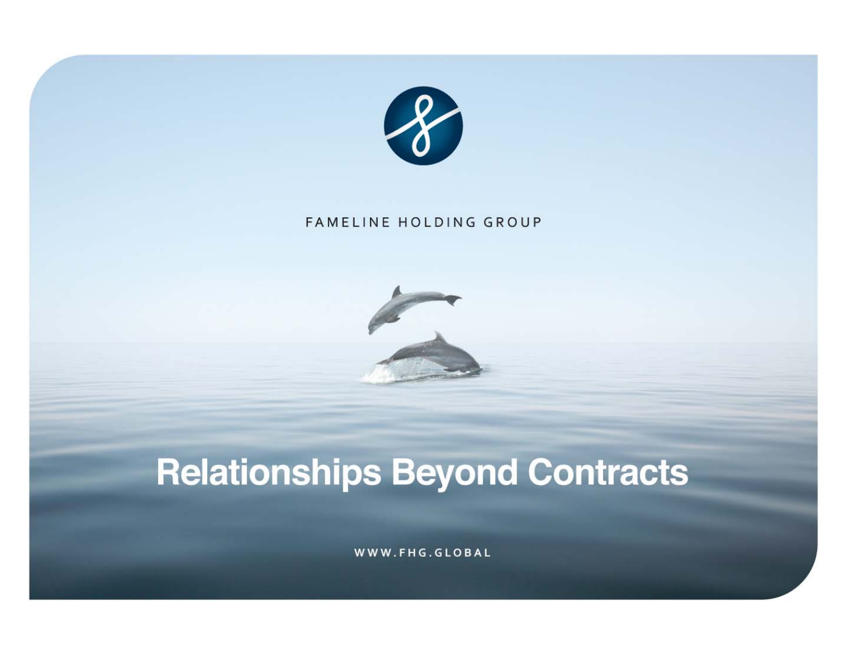

#### FAMELINE HOLDING GROUP



# **Relationships Beyond Contracts**

WWW.FHG.GLOBAL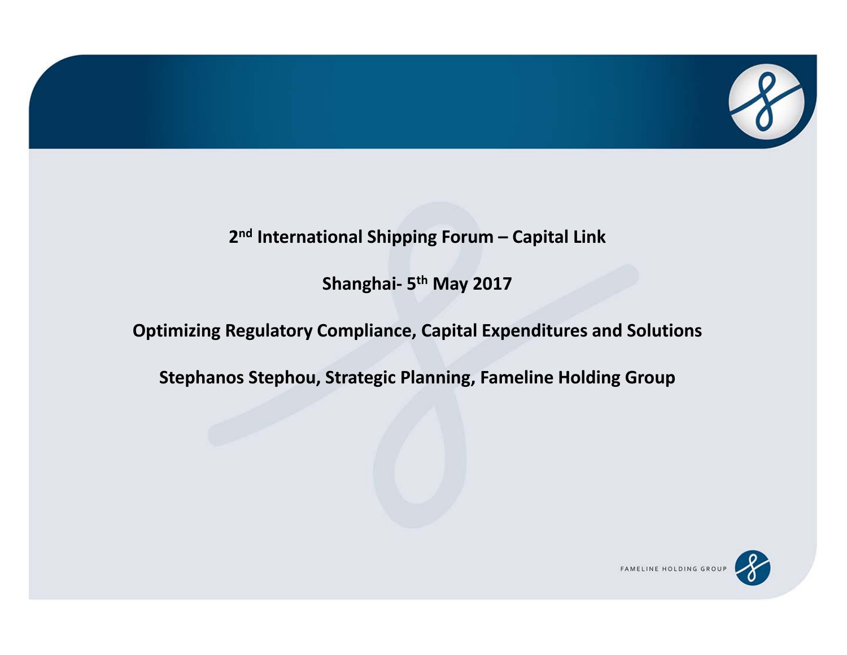

#### **2n<sup>d</sup> International Shipping Forum – Capital Link**

**Shanghai‐ 5th May 2017**

#### **Optimizing Regulatory Compliance, Capital Expenditures and Solutions**

**Stephanos Stephou, Strategic Planning, Fameline Holding Group**

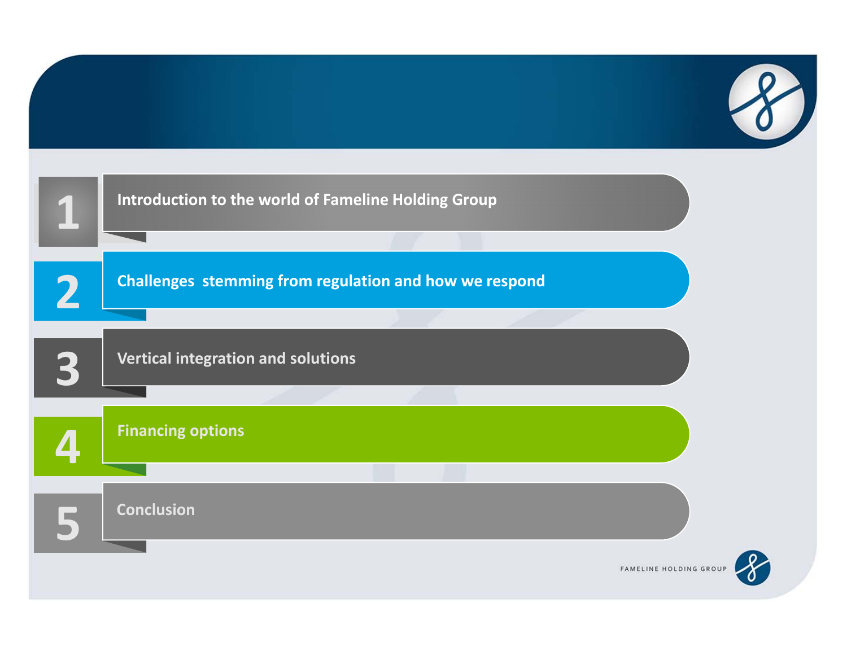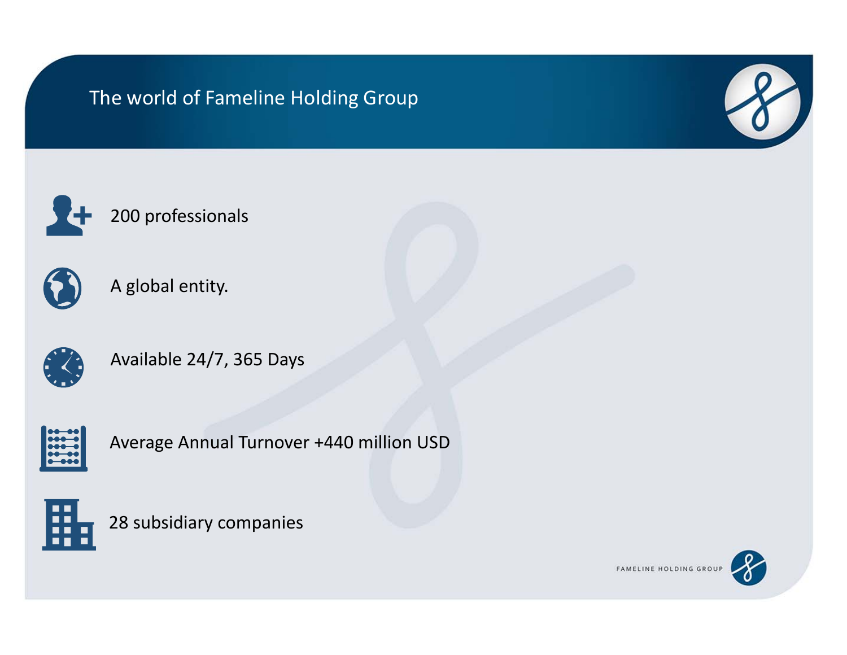### The world of Fameline Holding Group









A global entity.



Available 24/7, 365 Days



Average Annual Turnover +440 million USD



28 subsidiary companies

FAMELINE HOLDING GROUP

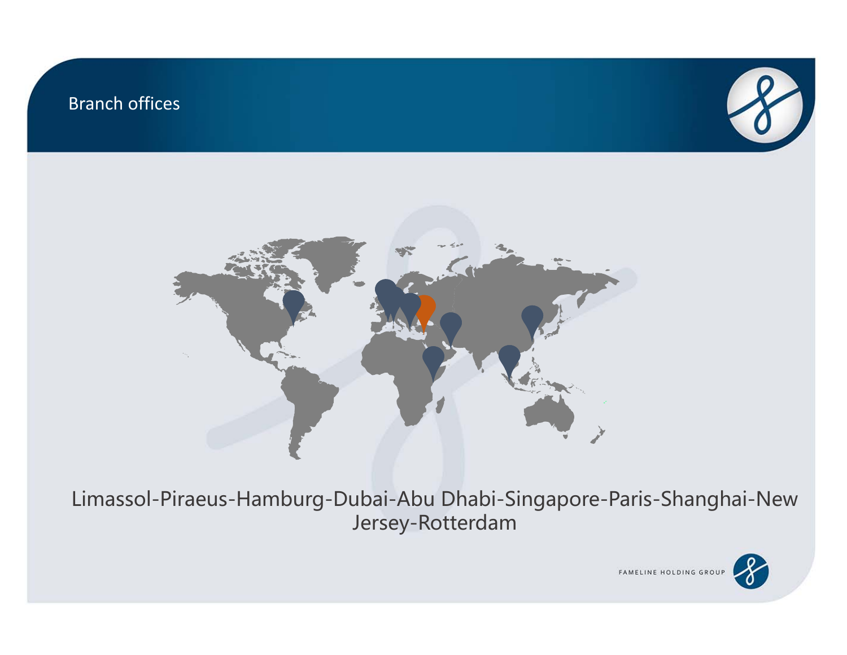#### Branch offices





Limassol-Piraeus-Hamburg-Dubai-Abu Dhabi-Singapore-Paris-Shanghai-New Jersey-Rotterdam

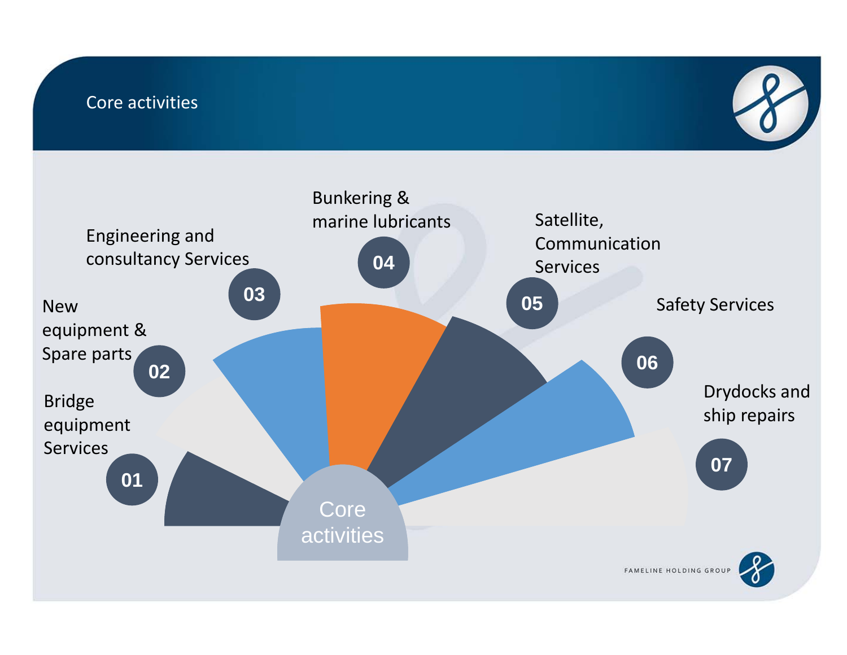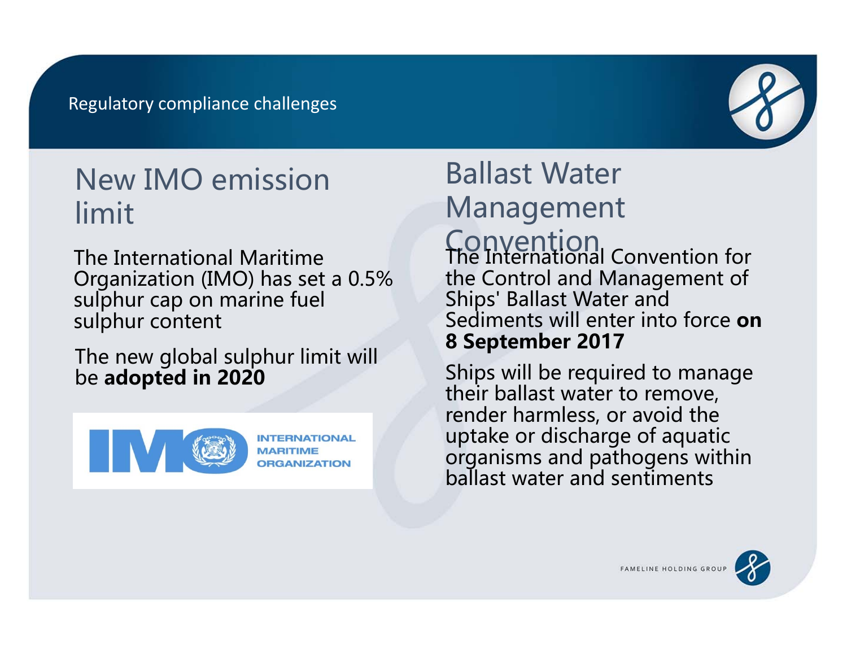

## New IMO emission limit

The International Maritime Organization (IMO) has set a 0.5% sulphur cap on marine fuel sulphur content

The new global sulphur limit will be **adopted in 2020**



#### **INTERNATIONAL DRGANIZATION**

## Ballast Water Management **Convention**<br>The International Convention for the Control and Management of Ships' Ballast Water and Sediments will enter into force **on 8 September 2017**

Ships will be required to manage their ballast water to remove, render harmless, or avoid the uptake or discharge of aquatic organisms and pathogens within ballast water and sentiments



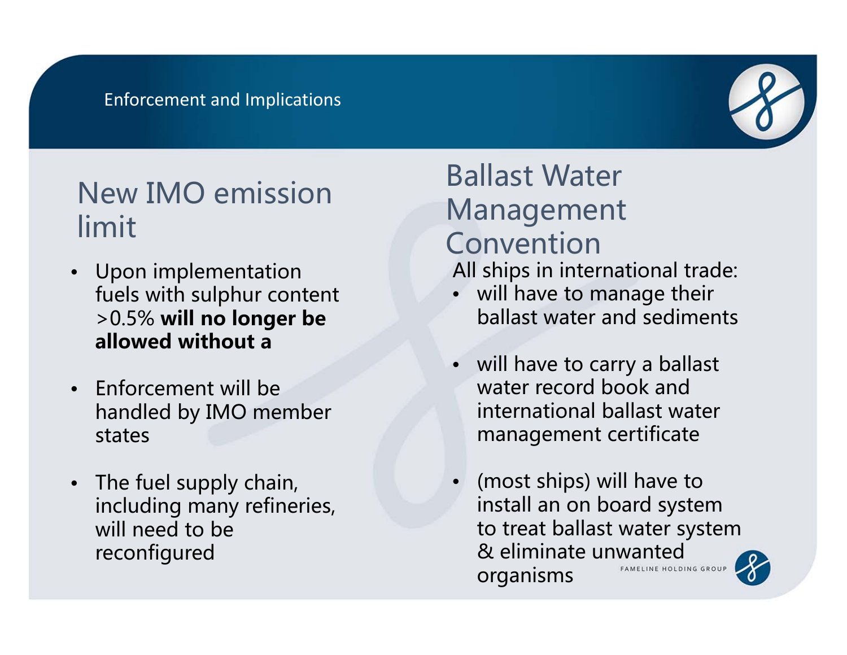#### Enforcement and Implications



## New IMO emission limit

- Upon implementation fuels with sulphur content >0.5% **will no longer be allowed without a**
- Enforcement will be handled by IMO member states
- The fuel supply chain, including many refineries, will need to be reconfigured

## Ballast Water Management Convention

All ships in international trade:

- will have to manage their ballast water and sediments
- will have to carry a ballast water record book and international ballast water management certificate
- (most ships) will have to •install an on board system to treat ballast water system & eliminate unwanted FAMELINE HOLDING GROUP organisms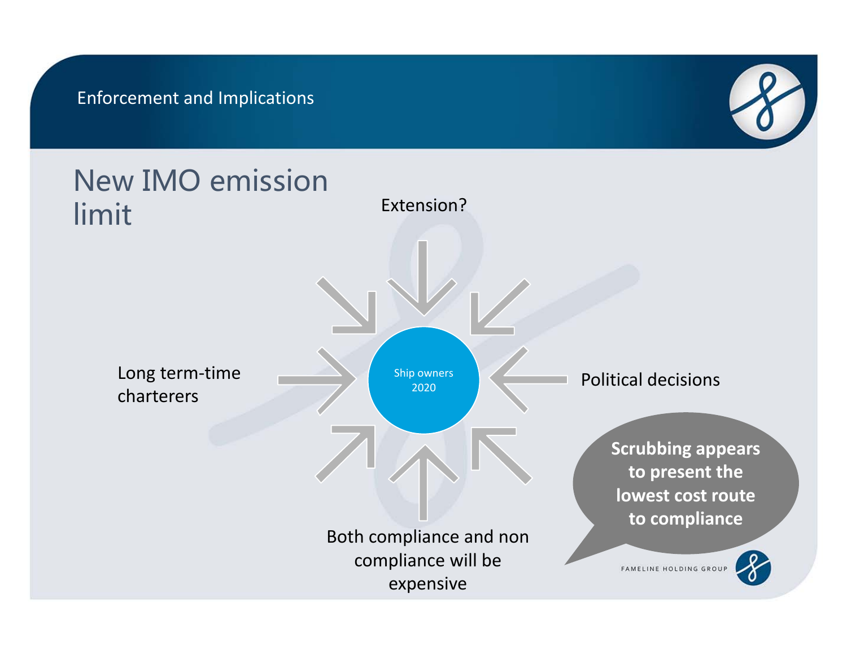Enforcement and Implications



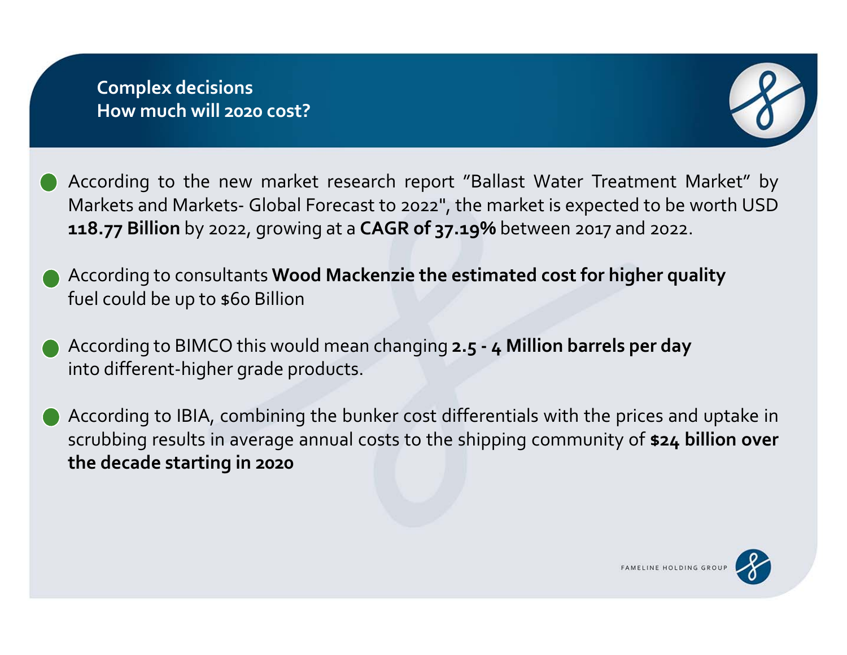

According to the new market research repor<sup>t</sup> "Ballast Water Treatment Market" by Markets and Markets‐ Global Forecast to <sup>2022</sup>", the market is expected to be worth USD **118.77 Billion** by 2022, growing at <sup>a</sup> **CAGR of 37.19%** between <sup>2017</sup> and 2022.

- According to consultants **Wood Mackenzie the estimated cost for higher quality** fuel could be up to \$60 Billion
- According to BIMCO this would mean changing **2.5 ‐ <sup>4</sup> Million barrels per day** into different‐higher grade products.
- According to IBIA, combining the bunker cost differentials with the prices and uptake in scrubbing results in average annual costs to the shipping community of **\$24 billion over the decade starting in <sup>2020</sup>**

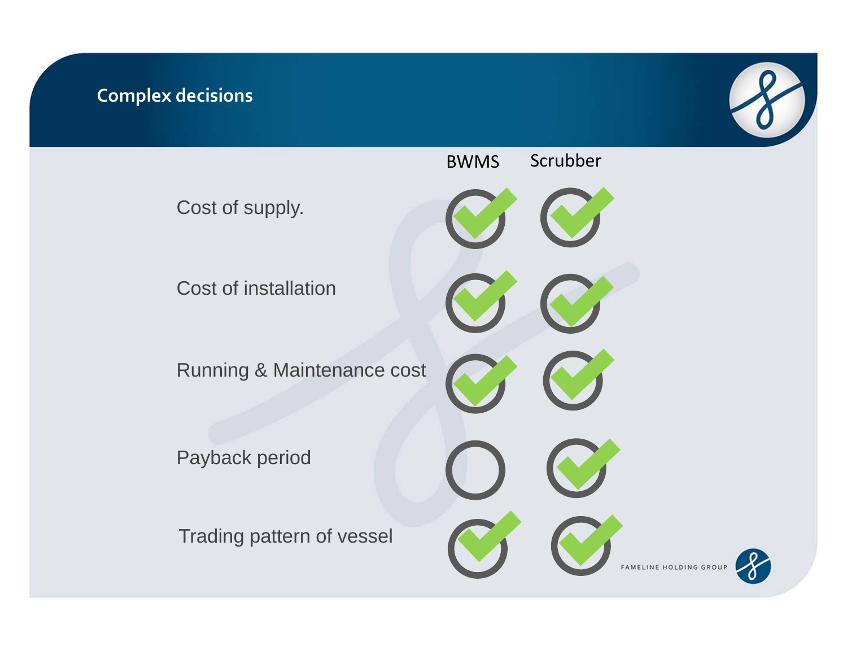#### **Complex decisions**



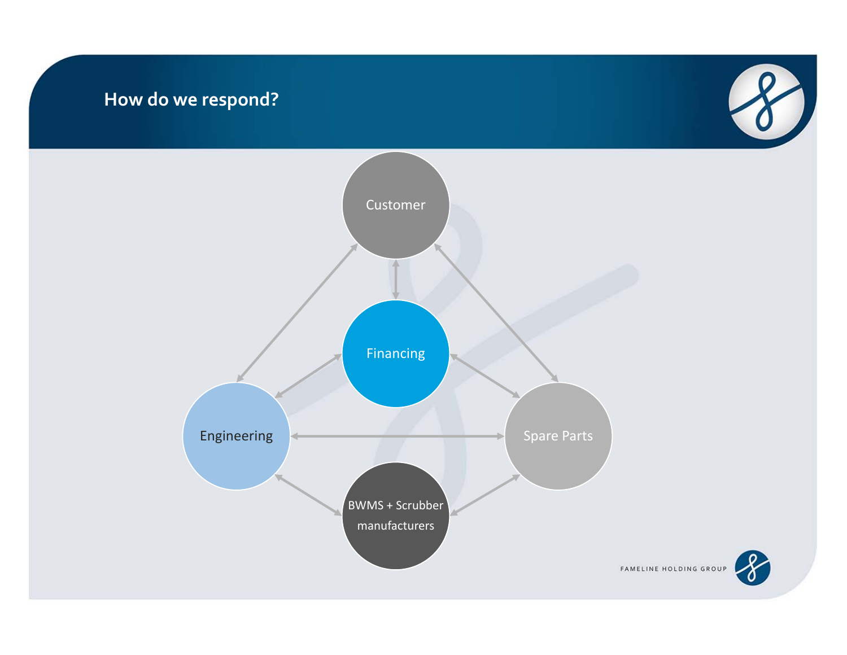#### **How do we respond?**





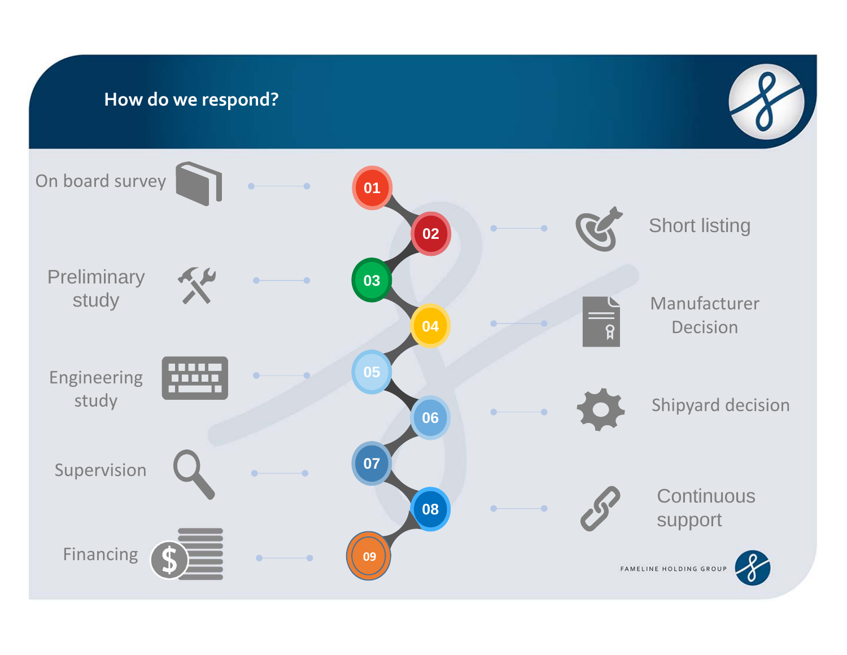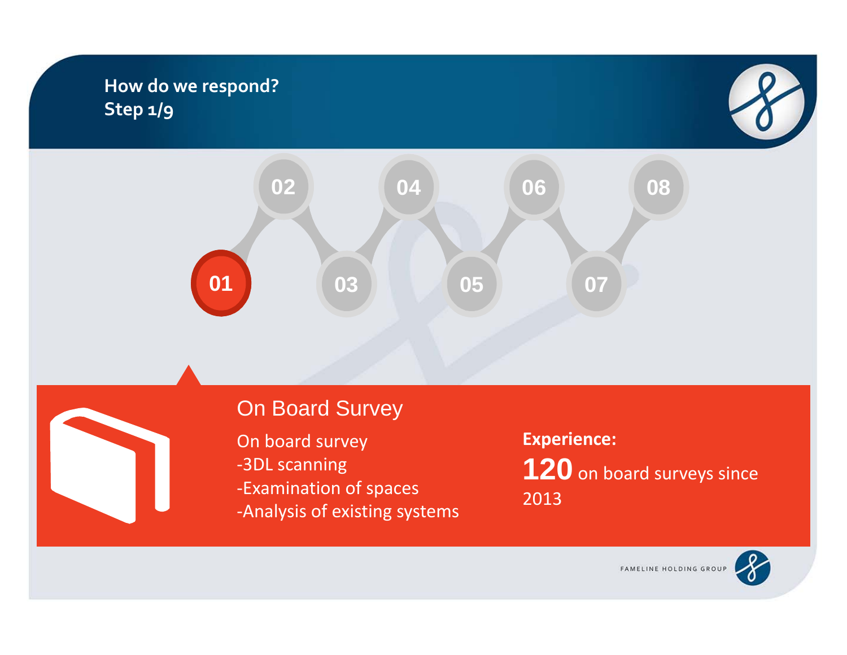### **How do we respond? Step 1/9**





## On Board Survey

On board survey ‐3DL scanning ‐Examination of spaces ‐Analysis of existing systems **Experience: 120** on board surveys since 2013

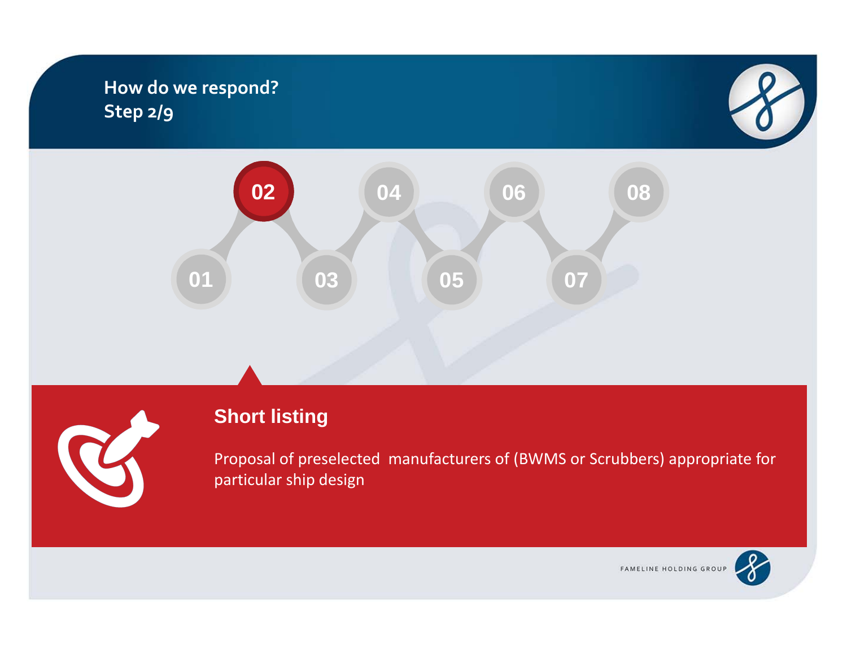#### **How do we respond? Step 2/9**







## **Short listing**

Proposal of preselected manufacturers of (BWMS or Scrubbers) appropriate for particular ship design

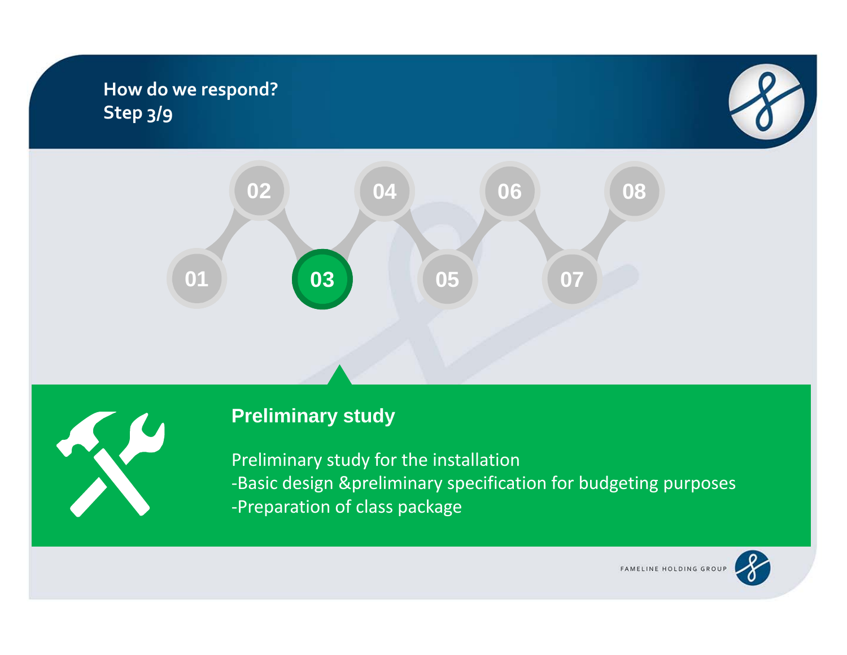### **How do we respond? Step 3/9**







## **Preliminary study**

Preliminary study for the installation ‐Basic design &preliminary specification for budgeting purposes ‐Preparation of class package

FAMELINE HOLDING GROUP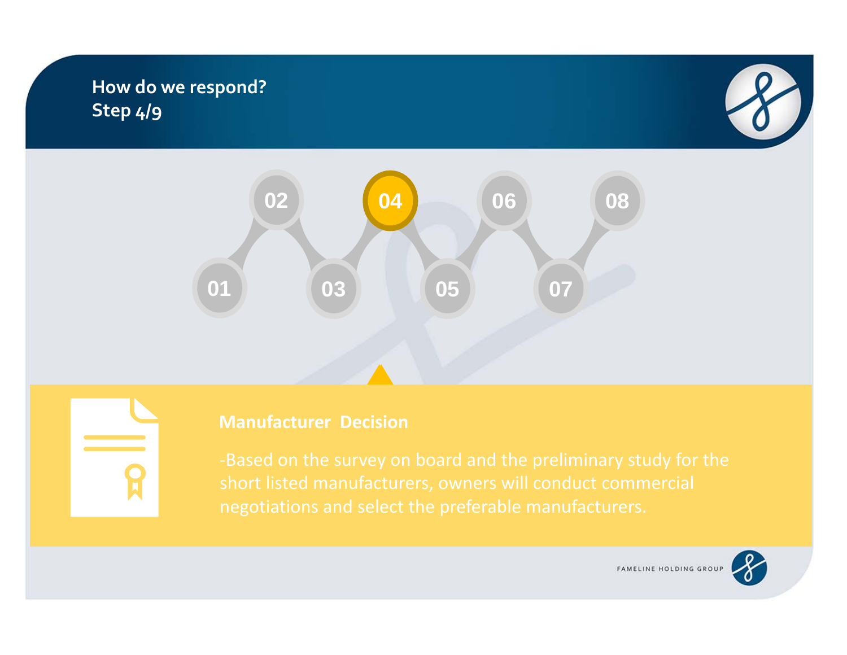## **How do we respond? Step 4/9**





## **Manufacturer Decision**

short listed manufacturers, owners will conduct commercial negotiations and select the preferable manufacturers.

FAMELINE HOLDING GROUP

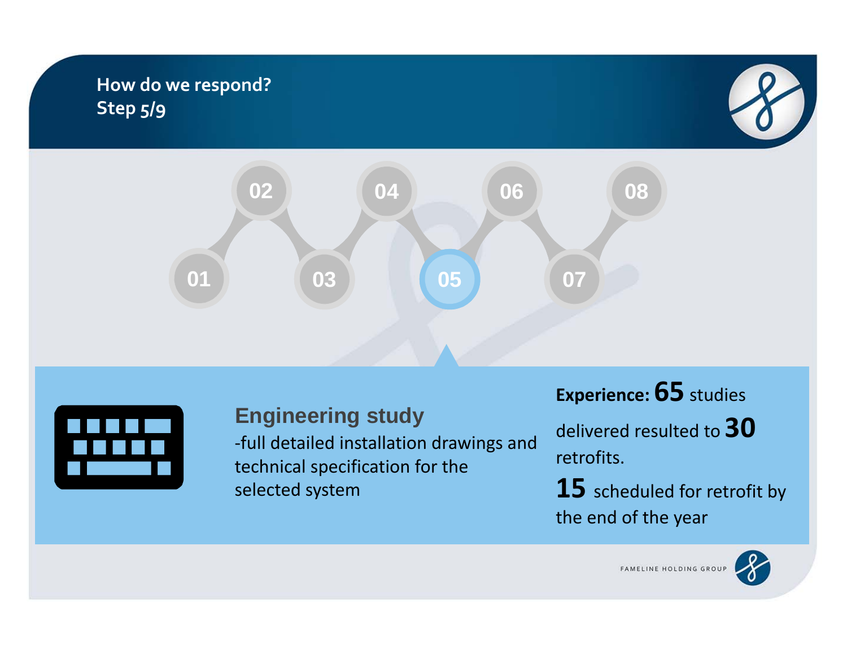## **How do we respond? Step 5/9**







## **Engineering study**

‐full detailed installation drawings and technical specification for the selected system

**Experience: 65** studies

delivered resulted to **30** retrofits.

**15** scheduled for retrofit by the end of the year

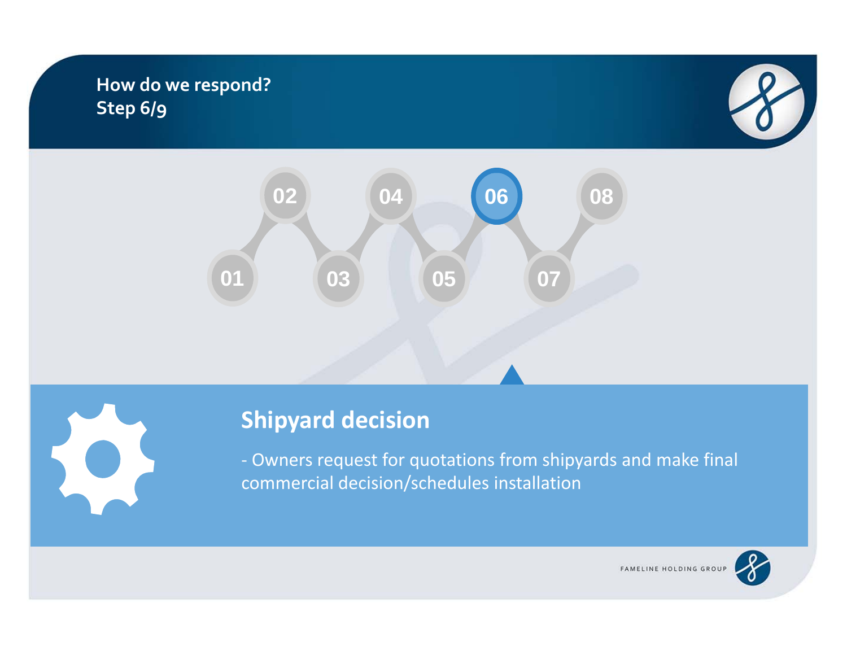### **How do we respond? Step 6/9**







‐ Owners request for quotations from shipyards and make final commercial decision/schedules installation

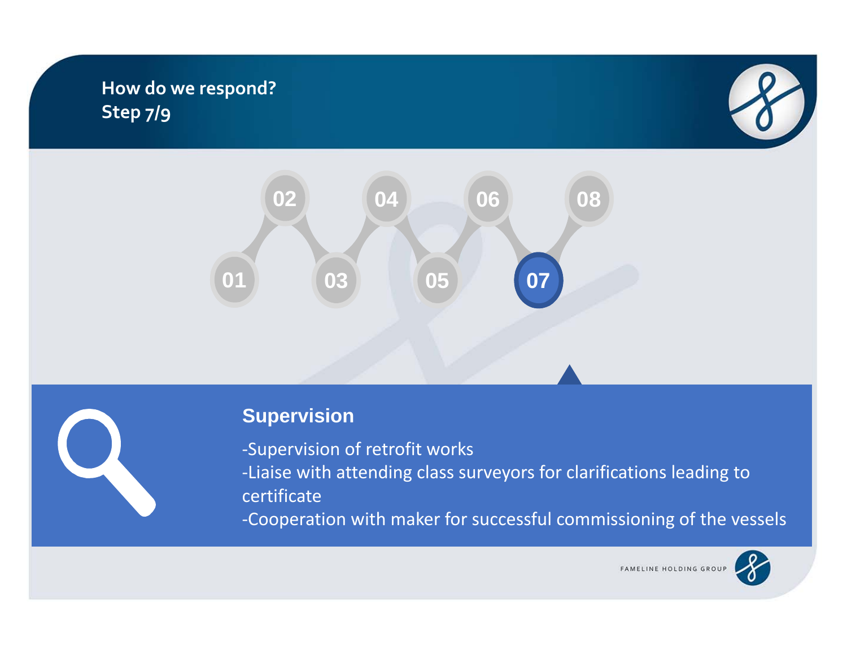## **How do we respond? Step 7/9**







‐Supervision of retrofit works ‐Liaise with attending class surveyors for clarifications leading to certificate

‐Cooperation with maker for successful commissioning of the vessels

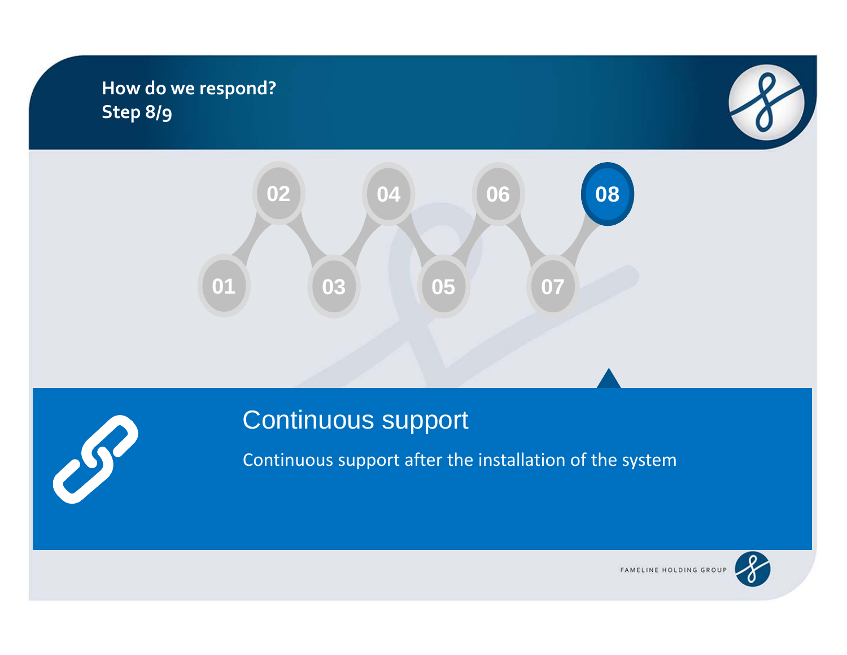### **How do we respond? Step 8/9**







## Continuous support

Continuous support after the installation of the system

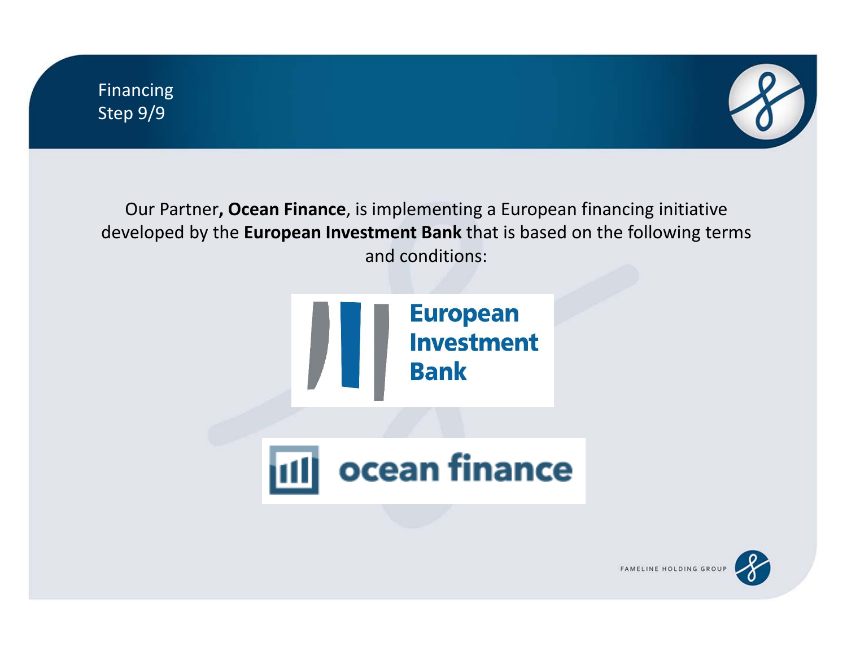

Our Partner**, Ocean Finance**, is implementing <sup>a</sup> European financing initiative developed by the **European Investment Bank** that is based on the following terms and conditions:





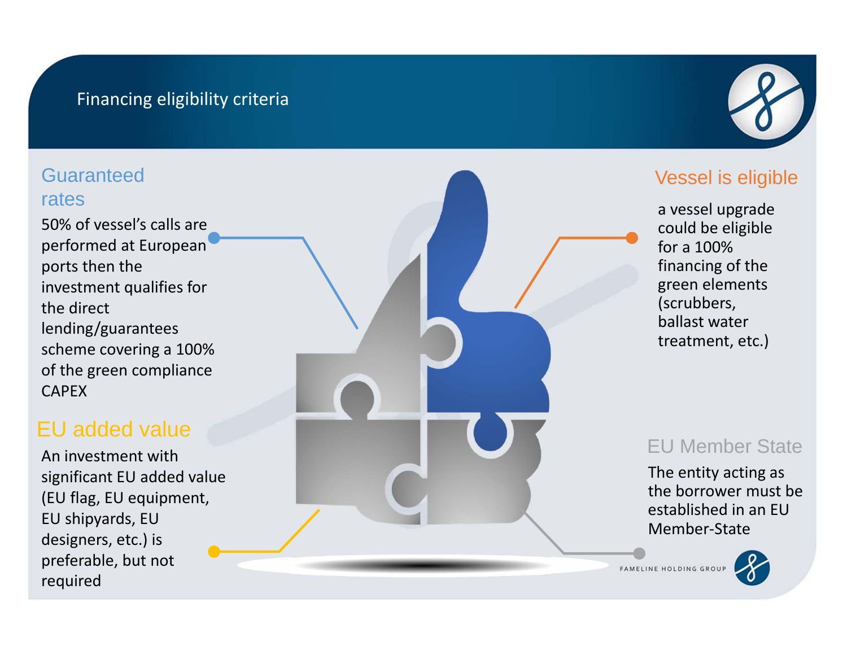#### Financing eligibility criteria

#### Guaranteedrates

50% of vessel's calls are performed at European ports then the investment qualifies for the direct lending/guarantees scheme covering a 100% of the green compliance CAPEX

## EU added value

An investment with significant EU added value (EU flag, EU equipment, EU shipyards, EU designers, etc.) is preferable, but not required



#### Vessel is eligible

a vessel upgrade could be eligible fora 100%financing of the green elements (scrubbers, ballast watertreatment, etc.)

#### EU Member State

The entity acting as the borrower must be established in an EUMember‐State

FAMELINE HOLDING GROU

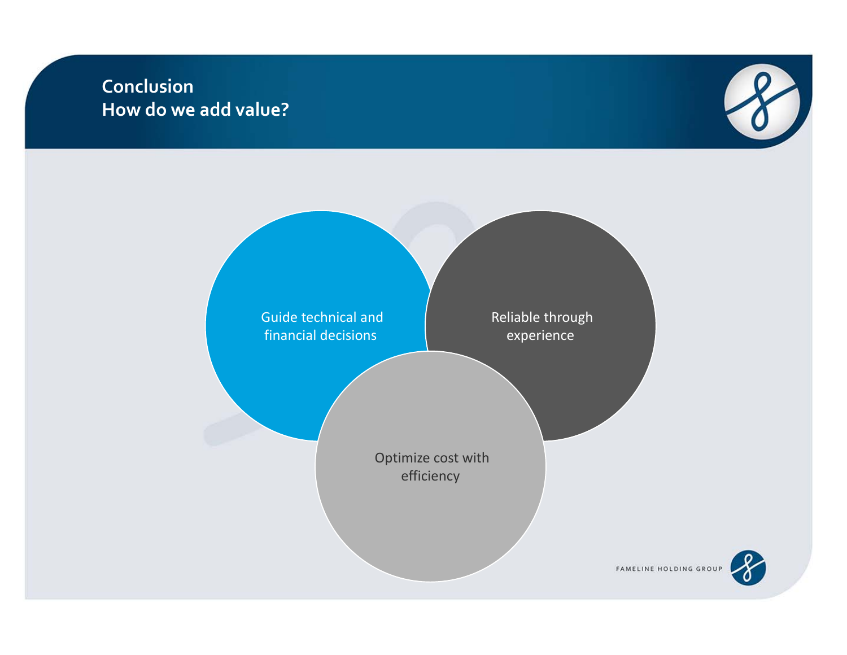#### **Conclusion How do we add value?**